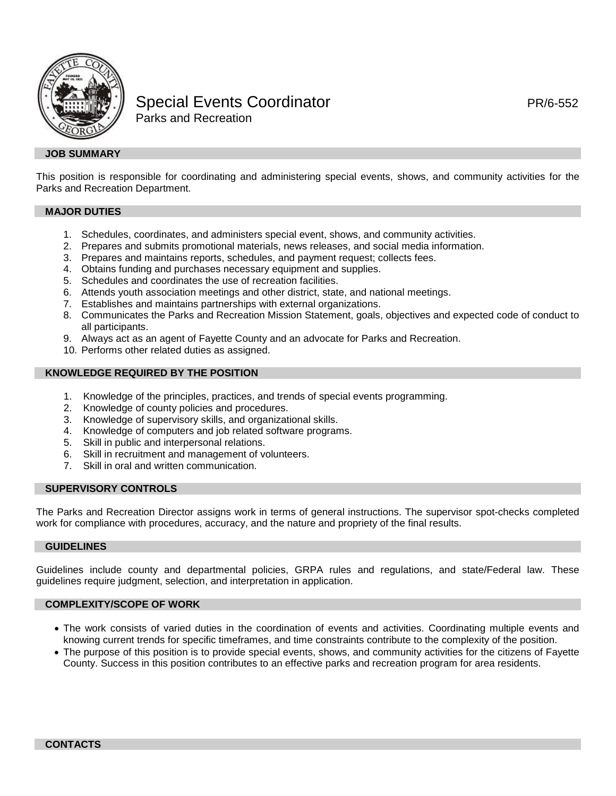

# Special Events Coordinator **PR/6-552** PR/6-552 Parks and Recreation

## **JOB SUMMARY**

This position is responsible for coordinating and administering special events, shows, and community activities for the Parks and Recreation Department.

#### **MAJOR DUTIES**

- 1. Schedules, coordinates, and administers special event, shows, and community activities.
- 2. Prepares and submits promotional materials, news releases, and social media information.
- 3. Prepares and maintains reports, schedules, and payment request; collects fees.
- 4. Obtains funding and purchases necessary equipment and supplies.
- 5. Schedules and coordinates the use of recreation facilities.
- 6. Attends youth association meetings and other district, state, and national meetings.
- 7. Establishes and maintains partnerships with external organizations.
- 8. Communicates the Parks and Recreation Mission Statement, goals, objectives and expected code of conduct to all participants.
- 9. Always act as an agent of Fayette County and an advocate for Parks and Recreation.
- 10. Performs other related duties as assigned.

## **KNOWLEDGE REQUIRED BY THE POSITION**

- 1. Knowledge of the principles, practices, and trends of special events programming.
- 2. Knowledge of county policies and procedures.
- 3. Knowledge of supervisory skills, and organizational skills.
- Knowledge of computers and job related software programs.
- 5. Skill in public and interpersonal relations.
- 6. Skill in recruitment and management of volunteers.<br>7. Skill in oral and written communication
- Skill in oral and written communication.

## **SUPERVISORY CONTROLS**

The Parks and Recreation Director assigns work in terms of general instructions. The supervisor spot-checks completed work for compliance with procedures, accuracy, and the nature and propriety of the final results.

#### **GUIDELINES**

Guidelines include county and departmental policies, GRPA rules and regulations, and state/Federal law. These guidelines require judgment, selection, and interpretation in application.

## **COMPLEXITY/SCOPE OF WORK**

- The work consists of varied duties in the coordination of events and activities. Coordinating multiple events and knowing current trends for specific timeframes, and time constraints contribute to the complexity of the position.
- The purpose of this position is to provide special events, shows, and community activities for the citizens of Fayette County. Success in this position contributes to an effective parks and recreation program for area residents.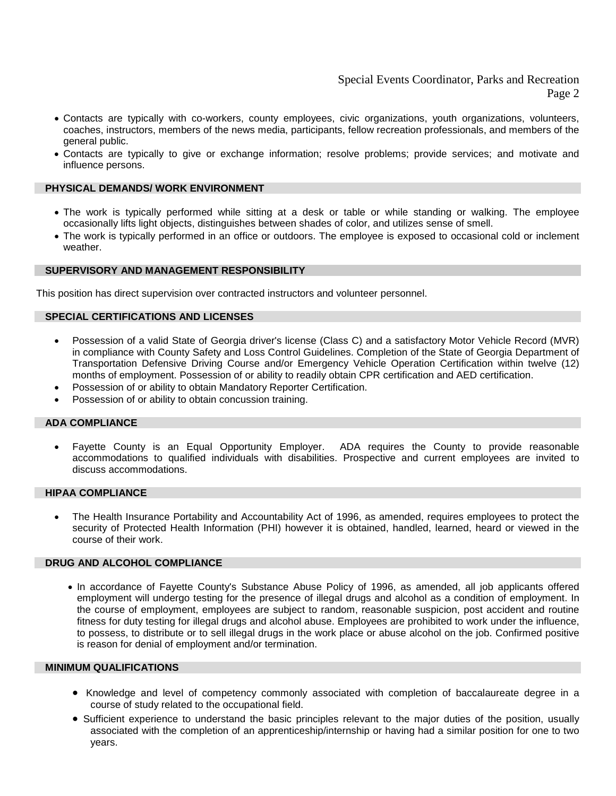## Special Events Coordinator, Parks and Recreation Page 2

- Contacts are typically with co-workers, county employees, civic organizations, youth organizations, volunteers, coaches, instructors, members of the news media, participants, fellow recreation professionals, and members of the general public.
- Contacts are typically to give or exchange information; resolve problems; provide services; and motivate and influence persons.

## **PHYSICAL DEMANDS/ WORK ENVIRONMENT**

- The work is typically performed while sitting at a desk or table or while standing or walking. The employee occasionally lifts light objects, distinguishes between shades of color, and utilizes sense of smell.
- The work is typically performed in an office or outdoors. The employee is exposed to occasional cold or inclement weather.

## **SUPERVISORY AND MANAGEMENT RESPONSIBILITY**

This position has direct supervision over contracted instructors and volunteer personnel.

## **SPECIAL CERTIFICATIONS AND LICENSES**

- Possession of a valid State of Georgia driver's license (Class C) and a satisfactory Motor Vehicle Record (MVR) in compliance with County Safety and Loss Control Guidelines. Completion of the State of Georgia Department of Transportation Defensive Driving Course and/or Emergency Vehicle Operation Certification within twelve (12) months of employment. Possession of or ability to readily obtain CPR certification and AED certification.
- Possession of or ability to obtain Mandatory Reporter Certification.
- Possession of or ability to obtain concussion training.

#### **ADA COMPLIANCE**

• Fayette County is an Equal Opportunity Employer. ADA requires the County to provide reasonable accommodations to qualified individuals with disabilities. Prospective and current employees are invited to discuss accommodations.

## **HIPAA COMPLIANCE**

• The Health Insurance Portability and Accountability Act of 1996, as amended, requires employees to protect the security of Protected Health Information (PHI) however it is obtained, handled, learned, heard or viewed in the course of their work.

#### **DRUG AND ALCOHOL COMPLIANCE**

• In accordance of Fayette County's Substance Abuse Policy of 1996, as amended, all job applicants offered employment will undergo testing for the presence of illegal drugs and alcohol as a condition of employment. In the course of employment, employees are subject to random, reasonable suspicion, post accident and routine fitness for duty testing for illegal drugs and alcohol abuse. Employees are prohibited to work under the influence, to possess, to distribute or to sell illegal drugs in the work place or abuse alcohol on the job. Confirmed positive is reason for denial of employment and/or termination.

## **MINIMUM QUALIFICATIONS**

- Knowledge and level of competency commonly associated with completion of baccalaureate degree in a course of study related to the occupational field.
- Sufficient experience to understand the basic principles relevant to the major duties of the position, usually associated with the completion of an apprenticeship/internship or having had a similar position for one to two years.